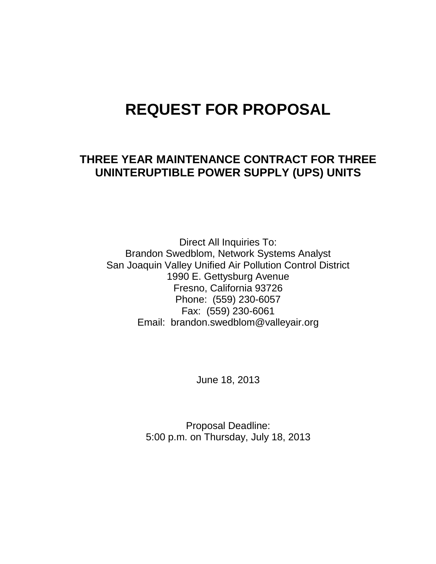# **REQUEST FOR PROPOSAL**

# **THREE YEAR MAINTENANCE CONTRACT FOR THREE UNINTERUPTIBLE POWER SUPPLY (UPS) UNITS**

Direct All Inquiries To: Brandon Swedblom, Network Systems Analyst San Joaquin Valley Unified Air Pollution Control District 1990 E. Gettysburg Avenue Fresno, California 93726 Phone: (559) 230-6057 Fax: (559) 230-6061 Email: brandon.swedblom@valleyair.org

June 18, 2013

Proposal Deadline: 5:00 p.m. on Thursday, July 18, 2013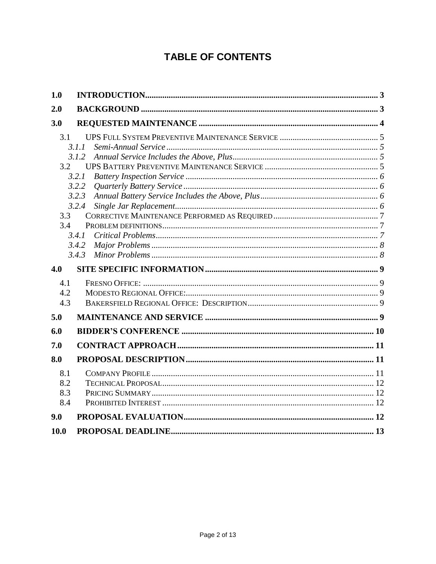# **TABLE OF CONTENTS**

| 1.0                      |                                                                               |  |
|--------------------------|-------------------------------------------------------------------------------|--|
| 2.0                      |                                                                               |  |
| 3.0                      |                                                                               |  |
| 3.1<br>3.2<br>3.3<br>3.4 | 3.1.1<br>3.1.2<br>3.2.1<br>3.2.2<br>3.2.3<br>3.2.4<br>3.4.1<br>3.4.2<br>3.4.3 |  |
| 4.0                      |                                                                               |  |
| 4.1<br>4.2<br>4.3        |                                                                               |  |
| 5.0                      |                                                                               |  |
| 6.0                      |                                                                               |  |
| 7.0                      |                                                                               |  |
| 8.0                      |                                                                               |  |
| 8.1<br>8.2<br>8.3<br>8.4 |                                                                               |  |
| 9.0                      |                                                                               |  |
| 10.0                     |                                                                               |  |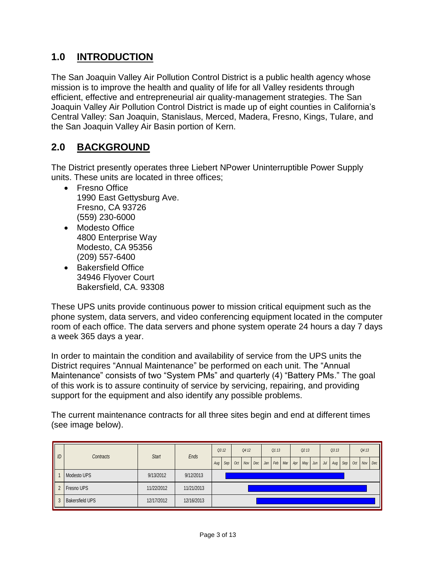# <span id="page-2-0"></span>**1.0 INTRODUCTION**

The San Joaquin Valley Air Pollution Control District is a public health agency whose mission is to improve the health and quality of life for all Valley residents through efficient, effective and entrepreneurial air quality-management strategies. The San Joaquin Valley Air Pollution Control District is made up of eight counties in California's Central Valley: San Joaquin, Stanislaus, Merced, Madera, Fresno, Kings, Tulare, and the San Joaquin Valley Air Basin portion of Kern.

### <span id="page-2-1"></span>**2.0 BACKGROUND**

The District presently operates three Liebert NPower Uninterruptible Power Supply units. These units are located in three offices;

- Fresno Office 1990 East Gettysburg Ave. Fresno, CA 93726 (559) 230-6000
- Modesto Office 4800 Enterprise Way Modesto, CA 95356 (209) 557-6400
- Bakersfield Office 34946 Flyover Court Bakersfield, CA. 93308

These UPS units provide continuous power to mission critical equipment such as the phone system, data servers, and video conferencing equipment located in the computer room of each office. The data servers and phone system operate 24 hours a day 7 days a week 365 days a year.

In order to maintain the condition and availability of service from the UPS units the District requires "Annual Maintenance" be performed on each unit. The "Annual Maintenance" consists of two "System PMs" and quarterly (4) "Battery PMs." The goal of this work is to assure continuity of service by servicing, repairing, and providing support for the equipment and also identify any possible problems.

The current maintenance contracts for all three sites begin and end at different times (see image below).

|                | Contracts              | <b>Start</b> | Ends                         | Q3 12 |  | Q4 12 |     |  | Q113 |                 |     | Q213 |           |     | Q3 13 |     |     |     | Q413 |  |
|----------------|------------------------|--------------|------------------------------|-------|--|-------|-----|--|------|-----------------|-----|------|-----------|-----|-------|-----|-----|-----|------|--|
| $\parallel$ ID |                        |              | Oct<br>Nov  <br>Sep  <br>Aug |       |  |       | Dec |  |      | Jan   Feb   Mar | Apr |      | $May$ Jun | Jul | Aug   | Sep | Oct | Nov | Dec  |  |
| I              | Modesto UPS            | 9/13/2012    | 9/12/2013                    |       |  |       |     |  |      |                 |     |      |           |     |       |     |     |     |      |  |
| $\parallel$ 2  | Fresno UPS             | 11/22/2012   | 11/21/2013                   |       |  |       |     |  |      |                 |     |      |           |     |       |     |     |     |      |  |
| I<br>3         | <b>Bakersfield UPS</b> | 12/17/2012   | 12/16/2013                   |       |  |       |     |  |      |                 |     |      |           |     |       |     |     |     |      |  |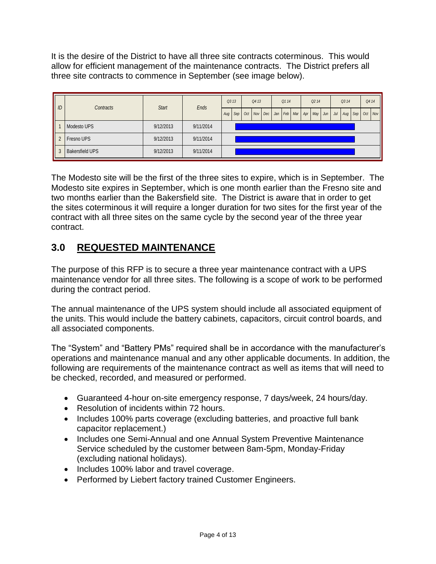It is the desire of the District to have all three site contracts coterminous. This would allow for efficient management of the maintenance contracts. The District prefers all three site contracts to commence in September (see image below).

| $\parallel$ ID | Contracts              | <b>Start</b> |           |  | Ends |  | Q3 13 | Q413 |                                                               |  | Q114 |  | Q <sub>2</sub> 14 |        |  | Q3 14     |  |           | Q4 14 |  |
|----------------|------------------------|--------------|-----------|--|------|--|-------|------|---------------------------------------------------------------|--|------|--|-------------------|--------|--|-----------|--|-----------|-------|--|
|                |                        |              |           |  |      |  |       |      | Aug Sep   Oct   Nov   Dec   Jan   Feb   Mar   Apr   May   Jun |  |      |  |                   | $J$ ul |  | Aug   Sep |  | $Oct$ Nov |       |  |
| II             | Modesto UPS            | 9/12/2013    | 9/11/2014 |  |      |  |       |      |                                                               |  |      |  |                   |        |  |           |  |           |       |  |
| I              | Fresno UPS             | 9/12/2013    | 9/11/2014 |  |      |  |       |      |                                                               |  |      |  |                   |        |  |           |  |           |       |  |
| I              | <b>Bakersfield UPS</b> | 9/12/2013    | 9/11/2014 |  |      |  |       |      |                                                               |  |      |  |                   |        |  |           |  |           |       |  |

The Modesto site will be the first of the three sites to expire, which is in September. The Modesto site expires in September, which is one month earlier than the Fresno site and two months earlier than the Bakersfield site. The District is aware that in order to get the sites coterminous it will require a longer duration for two sites for the first year of the contract with all three sites on the same cycle by the second year of the three year contract.

# <span id="page-3-0"></span>**3.0 REQUESTED MAINTENANCE**

The purpose of this RFP is to secure a three year maintenance contract with a UPS maintenance vendor for all three sites. The following is a scope of work to be performed during the contract period.

The annual maintenance of the UPS system should include all associated equipment of the units. This would include the battery cabinets, capacitors, circuit control boards, and all associated components.

The "System" and "Battery PMs" required shall be in accordance with the manufacturer's operations and maintenance manual and any other applicable documents. In addition, the following are requirements of the maintenance contract as well as items that will need to be checked, recorded, and measured or performed.

- Guaranteed 4-hour on-site emergency response, 7 days/week, 24 hours/day.
- Resolution of incidents within 72 hours.
- Includes 100% parts coverage (excluding batteries, and proactive full bank capacitor replacement.)
- Includes one Semi-Annual and one Annual System Preventive Maintenance Service scheduled by the customer between 8am-5pm, Monday-Friday (excluding national holidays).
- Includes 100% labor and travel coverage.
- Performed by Liebert factory trained Customer Engineers.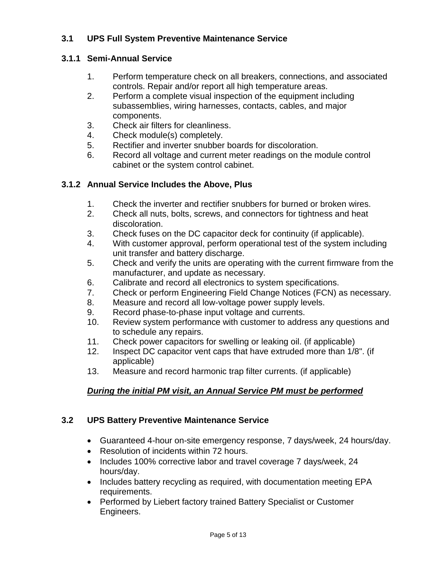#### <span id="page-4-0"></span>**3.1 UPS Full System Preventive Maintenance Service**

#### <span id="page-4-1"></span>**3.1.1 Semi-Annual Service**

- 1. Perform temperature check on all breakers, connections, and associated controls. Repair and/or report all high temperature areas.
- 2. Perform a complete visual inspection of the equipment including subassemblies, wiring harnesses, contacts, cables, and major components.
- 3. Check air filters for cleanliness.
- 4. Check module(s) completely.
- 5. Rectifier and inverter snubber boards for discoloration.
- 6. Record all voltage and current meter readings on the module control cabinet or the system control cabinet.

#### <span id="page-4-2"></span>**3.1.2 Annual Service Includes the Above, Plus**

- 1. Check the inverter and rectifier snubbers for burned or broken wires.
- 2. Check all nuts, bolts, screws, and connectors for tightness and heat discoloration.
- 3. Check fuses on the DC capacitor deck for continuity (if applicable).
- 4. With customer approval, perform operational test of the system including unit transfer and battery discharge.
- 5. Check and verify the units are operating with the current firmware from the manufacturer, and update as necessary.
- 6. Calibrate and record all electronics to system specifications.
- 7. Check or perform Engineering Field Change Notices (FCN) as necessary.
- 8. Measure and record all low-voltage power supply levels.
- 9. Record phase-to-phase input voltage and currents.
- 10. Review system performance with customer to address any questions and to schedule any repairs.
- 11. Check power capacitors for swelling or leaking oil. (if applicable)
- 12. Inspect DC capacitor vent caps that have extruded more than 1/8". (if applicable)
- 13. Measure and record harmonic trap filter currents. (if applicable)

### *During the initial PM visit, an Annual Service PM must be performed*

#### <span id="page-4-3"></span>**3.2 UPS Battery Preventive Maintenance Service**

- Guaranteed 4-hour on-site emergency response, 7 days/week, 24 hours/day.
- Resolution of incidents within 72 hours.
- Includes 100% corrective labor and travel coverage 7 days/week, 24 hours/day.
- Includes battery recycling as required, with documentation meeting EPA requirements.
- Performed by Liebert factory trained Battery Specialist or Customer Engineers.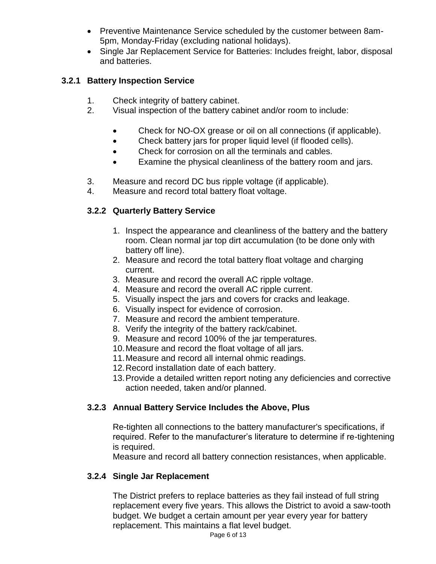- Preventive Maintenance Service scheduled by the customer between 8am-5pm, Monday-Friday (excluding national holidays).
- Single Jar Replacement Service for Batteries: Includes freight, labor, disposal and batteries.

#### <span id="page-5-0"></span>**3.2.1 Battery Inspection Service**

- 1. Check integrity of battery cabinet.
- 2. Visual inspection of the battery cabinet and/or room to include:
	- Check for NO-OX grease or oil on all connections (if applicable).
	- Check battery jars for proper liquid level (if flooded cells).
	- Check for corrosion on all the terminals and cables.
	- Examine the physical cleanliness of the battery room and jars.
- 3. Measure and record DC bus ripple voltage (if applicable).
- 4. Measure and record total battery float voltage.

### <span id="page-5-1"></span>**3.2.2 Quarterly Battery Service**

- 1. Inspect the appearance and cleanliness of the battery and the battery room. Clean normal jar top dirt accumulation (to be done only with battery off line).
- 2. Measure and record the total battery float voltage and charging current.
- 3. Measure and record the overall AC ripple voltage.
- 4. Measure and record the overall AC ripple current.
- 5. Visually inspect the jars and covers for cracks and leakage.
- 6. Visually inspect for evidence of corrosion.
- 7. Measure and record the ambient temperature.
- 8. Verify the integrity of the battery rack/cabinet.
- 9. Measure and record 100% of the jar temperatures.
- 10.Measure and record the float voltage of all jars.
- 11.Measure and record all internal ohmic readings.
- 12.Record installation date of each battery.
- 13.Provide a detailed written report noting any deficiencies and corrective action needed, taken and/or planned.

### <span id="page-5-2"></span>**3.2.3 Annual Battery Service Includes the Above, Plus**

Re-tighten all connections to the battery manufacturer's specifications, if required. Refer to the manufacturer's literature to determine if re-tightening is required.

Measure and record all battery connection resistances, when applicable.

#### <span id="page-5-3"></span>**3.2.4 Single Jar Replacement**

The District prefers to replace batteries as they fail instead of full string replacement every five years. This allows the District to avoid a saw-tooth budget. We budget a certain amount per year every year for battery replacement. This maintains a flat level budget.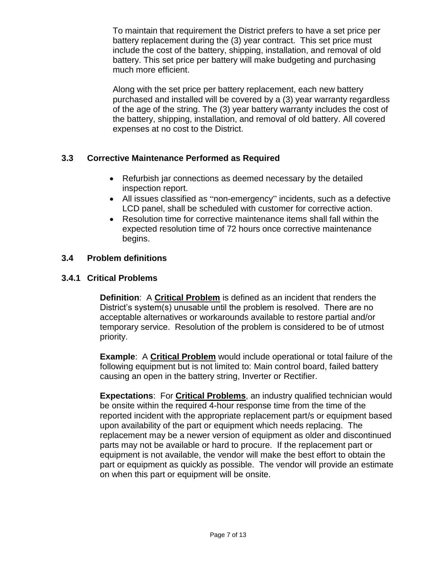To maintain that requirement the District prefers to have a set price per battery replacement during the (3) year contract. This set price must include the cost of the battery, shipping, installation, and removal of old battery. This set price per battery will make budgeting and purchasing much more efficient.

Along with the set price per battery replacement, each new battery purchased and installed will be covered by a (3) year warranty regardless of the age of the string. The (3) year battery warranty includes the cost of the battery, shipping, installation, and removal of old battery. All covered expenses at no cost to the District.

#### <span id="page-6-0"></span>**3.3 Corrective Maintenance Performed as Required**

- Refurbish jar connections as deemed necessary by the detailed inspection report.
- All issues classified as "non-emergency" incidents, such as a defective LCD panel, shall be scheduled with customer for corrective action.
- Resolution time for corrective maintenance items shall fall within the expected resolution time of 72 hours once corrective maintenance begins.

#### <span id="page-6-1"></span>**3.4 Problem definitions**

#### <span id="page-6-2"></span>**3.4.1 Critical Problems**

**Definition**: A **Critical Problem** is defined as an incident that renders the District's system(s) unusable until the problem is resolved. There are no acceptable alternatives or workarounds available to restore partial and/or temporary service. Resolution of the problem is considered to be of utmost priority.

**Example**: A **Critical Problem** would include operational or total failure of the following equipment but is not limited to: Main control board, failed battery causing an open in the battery string, Inverter or Rectifier.

**Expectations**: For **Critical Problems**, an industry qualified technician would be onsite within the required 4-hour response time from the time of the reported incident with the appropriate replacement part/s or equipment based upon availability of the part or equipment which needs replacing. The replacement may be a newer version of equipment as older and discontinued parts may not be available or hard to procure. If the replacement part or equipment is not available, the vendor will make the best effort to obtain the part or equipment as quickly as possible. The vendor will provide an estimate on when this part or equipment will be onsite.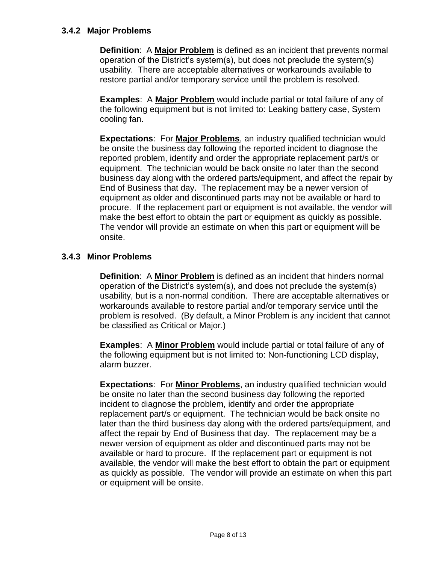#### <span id="page-7-0"></span>**3.4.2 Major Problems**

**Definition**: A **Major Problem** is defined as an incident that prevents normal operation of the District's system(s), but does not preclude the system(s) usability. There are acceptable alternatives or workarounds available to restore partial and/or temporary service until the problem is resolved.

**Examples**: A **Major Problem** would include partial or total failure of any of the following equipment but is not limited to: Leaking battery case, System cooling fan.

**Expectations**: For **Major Problems**, an industry qualified technician would be onsite the business day following the reported incident to diagnose the reported problem, identify and order the appropriate replacement part/s or equipment. The technician would be back onsite no later than the second business day along with the ordered parts/equipment, and affect the repair by End of Business that day. The replacement may be a newer version of equipment as older and discontinued parts may not be available or hard to procure. If the replacement part or equipment is not available, the vendor will make the best effort to obtain the part or equipment as quickly as possible. The vendor will provide an estimate on when this part or equipment will be onsite.

#### <span id="page-7-1"></span>**3.4.3 Minor Problems**

**Definition**: A **Minor Problem** is defined as an incident that hinders normal operation of the District's system(s), and does not preclude the system(s) usability, but is a non-normal condition. There are acceptable alternatives or workarounds available to restore partial and/or temporary service until the problem is resolved. (By default, a Minor Problem is any incident that cannot be classified as Critical or Major.)

**Examples**: A **Minor Problem** would include partial or total failure of any of the following equipment but is not limited to: Non-functioning LCD display, alarm buzzer.

**Expectations**: For **Minor Problems**, an industry qualified technician would be onsite no later than the second business day following the reported incident to diagnose the problem, identify and order the appropriate replacement part/s or equipment. The technician would be back onsite no later than the third business day along with the ordered parts/equipment, and affect the repair by End of Business that day. The replacement may be a newer version of equipment as older and discontinued parts may not be available or hard to procure. If the replacement part or equipment is not available, the vendor will make the best effort to obtain the part or equipment as quickly as possible. The vendor will provide an estimate on when this part or equipment will be onsite.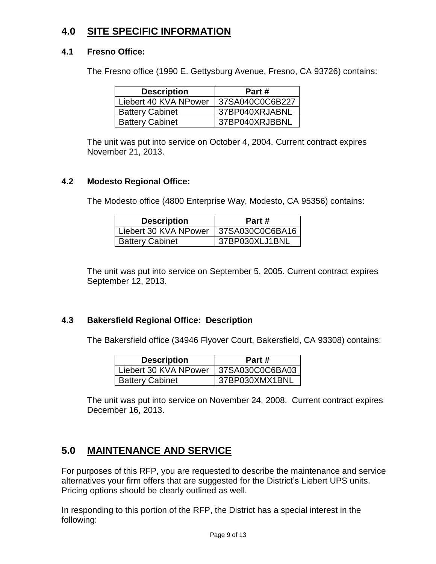### <span id="page-8-0"></span>**4.0 SITE SPECIFIC INFORMATION**

#### <span id="page-8-1"></span>**4.1 Fresno Office:**

The Fresno office (1990 E. Gettysburg Avenue, Fresno, CA 93726) contains:

| <b>Description</b>     | Part #          |
|------------------------|-----------------|
| Liebert 40 KVA NPower  | 37SA040C0C6B227 |
| <b>Battery Cabinet</b> | 37BP040XRJABNL  |
| <b>Battery Cabinet</b> | 37BP040XRJBBNL  |

The unit was put into service on October 4, 2004. Current contract expires November 21, 2013.

#### <span id="page-8-2"></span>**4.2 Modesto Regional Office:**

The Modesto office (4800 Enterprise Way, Modesto, CA 95356) contains:

| <b>Description</b>     | Part #          |
|------------------------|-----------------|
| Liebert 30 KVA NPower  | 37SA030C0C6BA16 |
| <b>Battery Cabinet</b> | 37BP030XLJ1BNL  |

The unit was put into service on September 5, 2005. Current contract expires September 12, 2013.

#### <span id="page-8-3"></span>**4.3 Bakersfield Regional Office: Description**

The Bakersfield office (34946 Flyover Court, Bakersfield, CA 93308) contains:

| <b>Description</b>     | Part #          |
|------------------------|-----------------|
| Liebert 30 KVA NPower  | 37SA030C0C6BA03 |
| <b>Battery Cabinet</b> | 37BP030XMX1BNL  |

The unit was put into service on November 24, 2008. Current contract expires December 16, 2013.

# <span id="page-8-4"></span>**5.0 MAINTENANCE AND SERVICE**

For purposes of this RFP, you are requested to describe the maintenance and service alternatives your firm offers that are suggested for the District's Liebert UPS units. Pricing options should be clearly outlined as well.

In responding to this portion of the RFP, the District has a special interest in the following: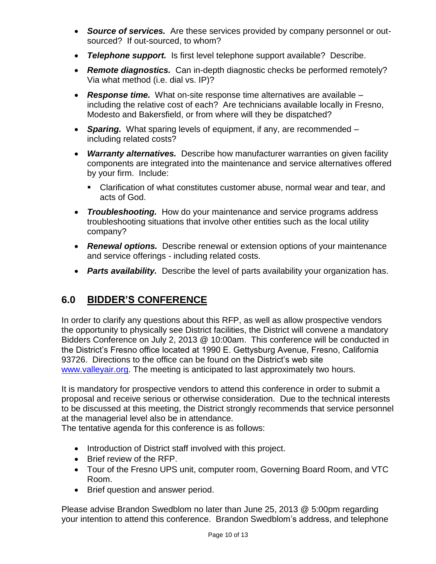- *Source of services.* Are these services provided by company personnel or outsourced? If out-sourced, to whom?
- *Telephone support.* Is first level telephone support available? Describe.
- *Remote diagnostics.* Can in-depth diagnostic checks be performed remotely? Via what method (i.e. dial vs. IP)?
- *Response time.* What on-site response time alternatives are available including the relative cost of each? Are technicians available locally in Fresno, Modesto and Bakersfield, or from where will they be dispatched?
- *Sparing.* What sparing levels of equipment, if any, are recommended including related costs?
- *Warranty alternatives.* Describe how manufacturer warranties on given facility components are integrated into the maintenance and service alternatives offered by your firm. Include:
	- Clarification of what constitutes customer abuse, normal wear and tear, and acts of God.
- *Troubleshooting.* How do your maintenance and service programs address troubleshooting situations that involve other entities such as the local utility company?
- *Renewal options.* Describe renewal or extension options of your maintenance and service offerings - including related costs.
- *Parts availability.* Describe the level of parts availability your organization has.

# <span id="page-9-0"></span>**6.0 BIDDER'S CONFERENCE**

In order to clarify any questions about this RFP, as well as allow prospective vendors the opportunity to physically see District facilities, the District will convene a mandatory Bidders Conference on July 2, 2013 @ 10:00am. This conference will be conducted in the District's Fresno office located at 1990 E. Gettysburg Avenue, Fresno, California 93726. Directions to the office can be found on the District's web site [www.valleyair.org.](http://www.valleyair.org/General_info/Directions_Fresno.htm) The meeting is anticipated to last approximately two hours.

It is mandatory for prospective vendors to attend this conference in order to submit a proposal and receive serious or otherwise consideration. Due to the technical interests to be discussed at this meeting, the District strongly recommends that service personnel at the managerial level also be in attendance.

The tentative agenda for this conference is as follows:

- Introduction of District staff involved with this project.
- Brief review of the RFP.
- Tour of the Fresno UPS unit, computer room, Governing Board Room, and VTC Room.
- Brief question and answer period.

Please advise Brandon Swedblom no later than June 25, 2013 @ 5:00pm regarding your intention to attend this conference. Brandon Swedblom's address, and telephone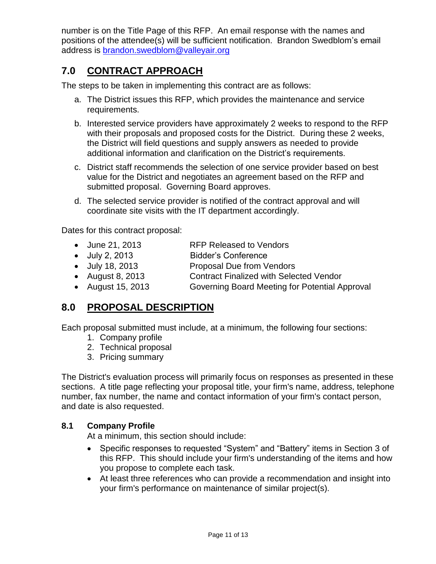number is on the Title Page of this RFP. An email response with the names and positions of the attendee(s) will be sufficient notification. Brandon Swedblom's email address is [brandon.swedblom@valleyair.org](mailto:brandon.swedblom@valleyair.org)

# <span id="page-10-0"></span>**7.0 CONTRACT APPROACH**

The steps to be taken in implementing this contract are as follows:

- a. The District issues this RFP, which provides the maintenance and service requirements.
- b. Interested service providers have approximately 2 weeks to respond to the RFP with their proposals and proposed costs for the District. During these 2 weeks, the District will field questions and supply answers as needed to provide additional information and clarification on the District's requirements.
- c. District staff recommends the selection of one service provider based on best value for the District and negotiates an agreement based on the RFP and submitted proposal. Governing Board approves.
- d. The selected service provider is notified of the contract approval and will coordinate site visits with the IT department accordingly.

Dates for this contract proposal:

- June 21, 2013 RFP Released to Vendors
- July 2, 2013 Bidder's Conference
- July 18, 2013 Proposal Due from Vendors
- August 8, 2013 Contract Finalized with Selected Vendor
- August 15, 2013 Governing Board Meeting for Potential Approval

### <span id="page-10-1"></span>**8.0 PROPOSAL DESCRIPTION**

Each proposal submitted must include, at a minimum, the following four sections:

- 1. Company profile
- 2. Technical proposal
- 3. Pricing summary

The District's evaluation process will primarily focus on responses as presented in these sections. A title page reflecting your proposal title, your firm's name, address, telephone number, fax number, the name and contact information of your firm's contact person, and date is also requested.

#### <span id="page-10-2"></span>**8.1 Company Profile**

At a minimum, this section should include:

- Specific responses to requested "System" and "Battery" items in Section 3 of this RFP. This should include your firm's understanding of the items and how you propose to complete each task.
- At least three references who can provide a recommendation and insight into your firm's performance on maintenance of similar project(s).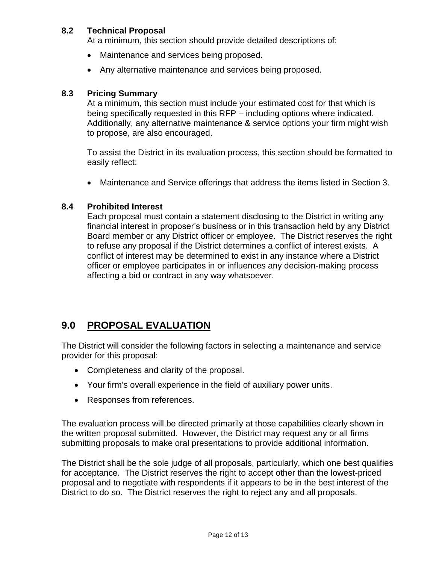#### <span id="page-11-0"></span>**8.2 Technical Proposal**

At a minimum, this section should provide detailed descriptions of:

- Maintenance and services being proposed.
- Any alternative maintenance and services being proposed.

#### <span id="page-11-1"></span>**8.3 Pricing Summary**

At a minimum, this section must include your estimated cost for that which is being specifically requested in this RFP – including options where indicated. Additionally, any alternative maintenance & service options your firm might wish to propose, are also encouraged.

To assist the District in its evaluation process, this section should be formatted to easily reflect:

Maintenance and Service offerings that address the items listed in Section 3.

#### <span id="page-11-2"></span>**8.4 Prohibited Interest**

Each proposal must contain a statement disclosing to the District in writing any financial interest in proposer's business or in this transaction held by any District Board member or any District officer or employee. The District reserves the right to refuse any proposal if the District determines a conflict of interest exists. A conflict of interest may be determined to exist in any instance where a District officer or employee participates in or influences any decision-making process affecting a bid or contract in any way whatsoever.

# <span id="page-11-3"></span>**9.0 PROPOSAL EVALUATION**

The District will consider the following factors in selecting a maintenance and service provider for this proposal:

- Completeness and clarity of the proposal.
- Your firm's overall experience in the field of auxiliary power units.
- Responses from references.

The evaluation process will be directed primarily at those capabilities clearly shown in the written proposal submitted. However, the District may request any or all firms submitting proposals to make oral presentations to provide additional information.

The District shall be the sole judge of all proposals, particularly, which one best qualifies for acceptance. The District reserves the right to accept other than the lowest-priced proposal and to negotiate with respondents if it appears to be in the best interest of the District to do so. The District reserves the right to reject any and all proposals.